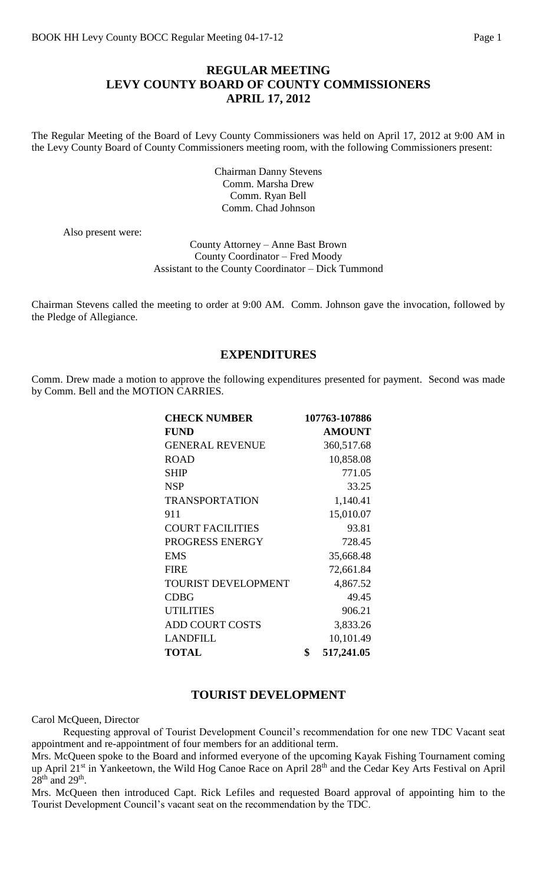## **REGULAR MEETING LEVY COUNTY BOARD OF COUNTY COMMISSIONERS APRIL 17, 2012**

The Regular Meeting of the Board of Levy County Commissioners was held on April 17, 2012 at 9:00 AM in the Levy County Board of County Commissioners meeting room, with the following Commissioners present:

> Chairman Danny Stevens Comm. Marsha Drew Comm. Ryan Bell Comm. Chad Johnson

Also present were:

County Attorney – Anne Bast Brown County Coordinator – Fred Moody Assistant to the County Coordinator – Dick Tummond

Chairman Stevens called the meeting to order at 9:00 AM. Comm. Johnson gave the invocation, followed by the Pledge of Allegiance.

### **EXPENDITURES**

Comm. Drew made a motion to approve the following expenditures presented for payment. Second was made by Comm. Bell and the MOTION CARRIES.

| <b>CHECK NUMBER</b>        | 107763-107886    |
|----------------------------|------------------|
| <b>FUND</b>                | <b>AMOUNT</b>    |
| <b>GENERAL REVENUE</b>     | 360,517.68       |
| <b>ROAD</b>                | 10,858.08        |
| <b>SHIP</b>                | 771.05           |
| <b>NSP</b>                 | 33.25            |
| <b>TRANSPORTATION</b>      | 1,140.41         |
| 911                        | 15,010.07        |
| <b>COURT FACILITIES</b>    | 93.81            |
| PROGRESS ENERGY            | 728.45           |
| <b>EMS</b>                 | 35,668.48        |
| <b>FIRE</b>                | 72,661.84        |
| <b>TOURIST DEVELOPMENT</b> | 4,867.52         |
| <b>CDBG</b>                | 49.45            |
| <b>UTILITIES</b>           | 906.21           |
| <b>ADD COURT COSTS</b>     | 3,833.26         |
| <b>LANDFILL</b>            | 10,101.49        |
| <b>TOTAL</b>               | \$<br>517,241.05 |

### **TOURIST DEVELOPMENT**

Carol McQueen, Director

Requesting approval of Tourist Development Council's recommendation for one new TDC Vacant seat appointment and re-appointment of four members for an additional term.

Mrs. McQueen spoke to the Board and informed everyone of the upcoming Kayak Fishing Tournament coming up April 21<sup>st</sup> in Yankeetown, the Wild Hog Canoe Race on April 28<sup>th</sup> and the Cedar Key Arts Festival on April  $28<sup>th</sup>$  and  $29<sup>th</sup>$ .

Mrs. McQueen then introduced Capt. Rick Lefiles and requested Board approval of appointing him to the Tourist Development Council's vacant seat on the recommendation by the TDC.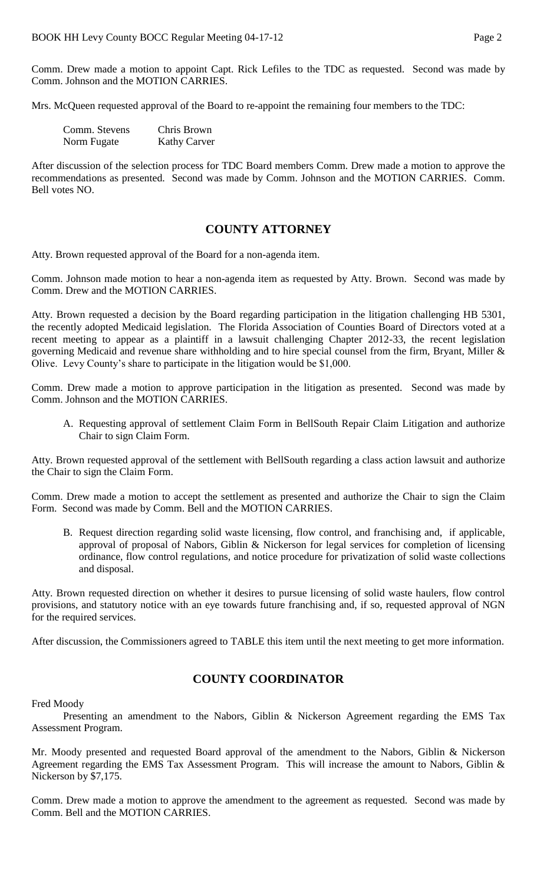Comm. Drew made a motion to appoint Capt. Rick Lefiles to the TDC as requested. Second was made by Comm. Johnson and the MOTION CARRIES.

Mrs. McQueen requested approval of the Board to re-appoint the remaining four members to the TDC:

| Comm. Stevens | Chris Brown         |
|---------------|---------------------|
| Norm Fugate   | <b>Kathy Carver</b> |

After discussion of the selection process for TDC Board members Comm. Drew made a motion to approve the recommendations as presented. Second was made by Comm. Johnson and the MOTION CARRIES. Comm. Bell votes NO.

## **COUNTY ATTORNEY**

Atty. Brown requested approval of the Board for a non-agenda item.

Comm. Johnson made motion to hear a non-agenda item as requested by Atty. Brown. Second was made by Comm. Drew and the MOTION CARRIES.

Atty. Brown requested a decision by the Board regarding participation in the litigation challenging HB 5301, the recently adopted Medicaid legislation. The Florida Association of Counties Board of Directors voted at a recent meeting to appear as a plaintiff in a lawsuit challenging Chapter 2012-33, the recent legislation governing Medicaid and revenue share withholding and to hire special counsel from the firm, Bryant, Miller & Olive. Levy County's share to participate in the litigation would be \$1,000.

Comm. Drew made a motion to approve participation in the litigation as presented. Second was made by Comm. Johnson and the MOTION CARRIES.

A. Requesting approval of settlement Claim Form in BellSouth Repair Claim Litigation and authorize Chair to sign Claim Form.

Atty. Brown requested approval of the settlement with BellSouth regarding a class action lawsuit and authorize the Chair to sign the Claim Form.

Comm. Drew made a motion to accept the settlement as presented and authorize the Chair to sign the Claim Form. Second was made by Comm. Bell and the MOTION CARRIES.

B. Request direction regarding solid waste licensing, flow control, and franchising and, if applicable, approval of proposal of Nabors, Giblin & Nickerson for legal services for completion of licensing ordinance, flow control regulations, and notice procedure for privatization of solid waste collections and disposal.

Atty. Brown requested direction on whether it desires to pursue licensing of solid waste haulers, flow control provisions, and statutory notice with an eye towards future franchising and, if so, requested approval of NGN for the required services.

After discussion, the Commissioners agreed to TABLE this item until the next meeting to get more information.

# **COUNTY COORDINATOR**

Fred Moody

Presenting an amendment to the Nabors, Giblin & Nickerson Agreement regarding the EMS Tax Assessment Program.

Mr. Moody presented and requested Board approval of the amendment to the Nabors, Giblin & Nickerson Agreement regarding the EMS Tax Assessment Program. This will increase the amount to Nabors, Giblin & Nickerson by \$7,175.

Comm. Drew made a motion to approve the amendment to the agreement as requested. Second was made by Comm. Bell and the MOTION CARRIES.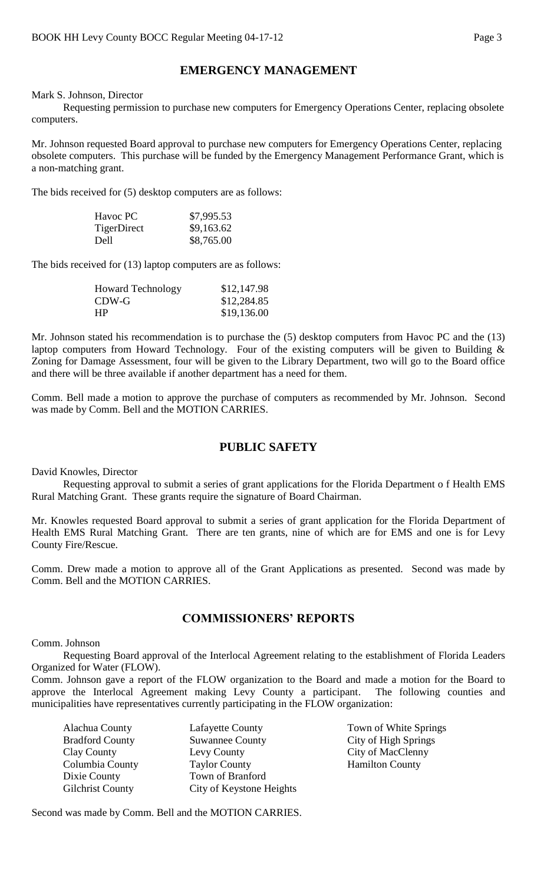# **EMERGENCY MANAGEMENT**

#### Mark S. Johnson, Director

Requesting permission to purchase new computers for Emergency Operations Center, replacing obsolete computers.

Mr. Johnson requested Board approval to purchase new computers for Emergency Operations Center, replacing obsolete computers. This purchase will be funded by the Emergency Management Performance Grant, which is a non-matching grant.

The bids received for (5) desktop computers are as follows:

| Havoc PC    | \$7,995.53 |
|-------------|------------|
| TigerDirect | \$9,163.62 |
| Dell        | \$8,765.00 |

The bids received for (13) laptop computers are as follows:

| <b>Howard Technology</b> | \$12,147.98 |
|--------------------------|-------------|
| CDW-G                    | \$12,284.85 |
| HР                       | \$19,136.00 |

Mr. Johnson stated his recommendation is to purchase the (5) desktop computers from Havoc PC and the (13) laptop computers from Howard Technology. Four of the existing computers will be given to Building & Zoning for Damage Assessment, four will be given to the Library Department, two will go to the Board office and there will be three available if another department has a need for them.

Comm. Bell made a motion to approve the purchase of computers as recommended by Mr. Johnson. Second was made by Comm. Bell and the MOTION CARRIES.

## **PUBLIC SAFETY**

David Knowles, Director

Requesting approval to submit a series of grant applications for the Florida Department o f Health EMS Rural Matching Grant. These grants require the signature of Board Chairman.

Mr. Knowles requested Board approval to submit a series of grant application for the Florida Department of Health EMS Rural Matching Grant. There are ten grants, nine of which are for EMS and one is for Levy County Fire/Rescue.

Comm. Drew made a motion to approve all of the Grant Applications as presented. Second was made by Comm. Bell and the MOTION CARRIES.

### **COMMISSIONERS' REPORTS**

Comm. Johnson

Requesting Board approval of the Interlocal Agreement relating to the establishment of Florida Leaders Organized for Water (FLOW).

Comm. Johnson gave a report of the FLOW organization to the Board and made a motion for the Board to approve the Interlocal Agreement making Levy County a participant. The following counties and municipalities have representatives currently participating in the FLOW organization:

| <b>Lafayette County</b>  |
|--------------------------|
| <b>Suwannee County</b>   |
| Levy County              |
| <b>Taylor County</b>     |
| Town of Branford         |
| City of Keystone Heights |
|                          |

Town of White Springs City of High Springs City of MacClenny Hamilton County

Second was made by Comm. Bell and the MOTION CARRIES.